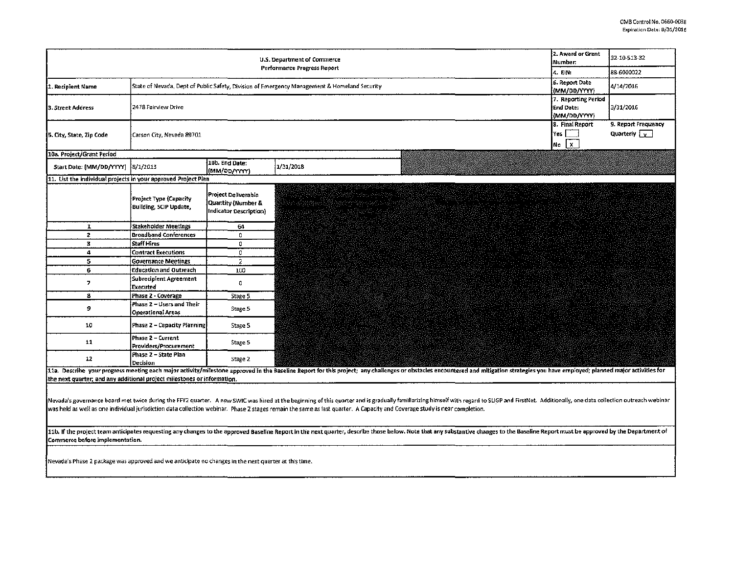|                                                                                                                                                                                                                                                                                                                                                                                                              | 2. Award or Grant<br>U.S. Department of Commerce<br>lNumber:<br>Performance Progress Report<br>14. EIN. | 32-10-513-32<br>88-6000022                                                                                                      |                                                                                                                                                                                                                                                                                                                             |  |  |  |  |  |
|--------------------------------------------------------------------------------------------------------------------------------------------------------------------------------------------------------------------------------------------------------------------------------------------------------------------------------------------------------------------------------------------------------------|---------------------------------------------------------------------------------------------------------|---------------------------------------------------------------------------------------------------------------------------------|-----------------------------------------------------------------------------------------------------------------------------------------------------------------------------------------------------------------------------------------------------------------------------------------------------------------------------|--|--|--|--|--|
| 1. Recipient Name                                                                                                                                                                                                                                                                                                                                                                                            |                                                                                                         | 6. Report Date<br>State of Nevada, Dept of Public Safety, Division of Emergency Management & Homeland Security<br>{(MM/DD/YYYY) | 4/14/2016                                                                                                                                                                                                                                                                                                                   |  |  |  |  |  |
| 3. Street Address                                                                                                                                                                                                                                                                                                                                                                                            | 2478 Fairview Drive                                                                                     | 7. Reporting Period<br>End Date:<br>{{MM/DD/YYYY}                                                                               | 3/31/2016                                                                                                                                                                                                                                                                                                                   |  |  |  |  |  |
| 5. City, State, Zip Code                                                                                                                                                                                                                                                                                                                                                                                     | Carson City, Nevada 89701                                                                               | 8. Final Report<br>lYes l<br>No X                                                                                               | 9. Report Frequency<br>Quarterly $\sqrt{y}$                                                                                                                                                                                                                                                                                 |  |  |  |  |  |
| 10a. Project/Grant Period                                                                                                                                                                                                                                                                                                                                                                                    |                                                                                                         |                                                                                                                                 |                                                                                                                                                                                                                                                                                                                             |  |  |  |  |  |
| Start Date: [MM/DD/YYYY]                                                                                                                                                                                                                                                                                                                                                                                     | 8/1/2013                                                                                                | 10b. End Date:<br>(MM/OD/YYYY)                                                                                                  | 1/31/2018                                                                                                                                                                                                                                                                                                                   |  |  |  |  |  |
| 11. List the individual projects in your approved Project Plan                                                                                                                                                                                                                                                                                                                                               |                                                                                                         |                                                                                                                                 |                                                                                                                                                                                                                                                                                                                             |  |  |  |  |  |
|                                                                                                                                                                                                                                                                                                                                                                                                              | Project Type (Capacity<br>Building, SCIP Update,                                                        | Project Deliverable<br>Quantity (Number &<br>Indicator Description)                                                             | grygdd gynasoddw<br>Sael i cewn Awdrew<br>e en de la componentación de la componentación de la componentación de la componentación de la componentación<br>Algunas de la componentación de la componentación de la componentación de la componentación de la componentaci<br>20au i<br>instrument (1920)<br>Servesti (1930) |  |  |  |  |  |
| $\mathbf{I}$                                                                                                                                                                                                                                                                                                                                                                                                 | Stakeholder Meetings                                                                                    | 64                                                                                                                              |                                                                                                                                                                                                                                                                                                                             |  |  |  |  |  |
| $\overline{2}$                                                                                                                                                                                                                                                                                                                                                                                               | <b>Broadband Conferences</b>                                                                            | 0                                                                                                                               |                                                                                                                                                                                                                                                                                                                             |  |  |  |  |  |
| $\mathbf{3}$                                                                                                                                                                                                                                                                                                                                                                                                 | <b>Staff Hires</b>                                                                                      | 0                                                                                                                               |                                                                                                                                                                                                                                                                                                                             |  |  |  |  |  |
| $\ddot{\bf{4}}$                                                                                                                                                                                                                                                                                                                                                                                              | <b>Contract Executions</b>                                                                              | 0                                                                                                                               |                                                                                                                                                                                                                                                                                                                             |  |  |  |  |  |
| 5                                                                                                                                                                                                                                                                                                                                                                                                            | <b>Governance Meetings</b>                                                                              | $\overline{2}$                                                                                                                  |                                                                                                                                                                                                                                                                                                                             |  |  |  |  |  |
| 6                                                                                                                                                                                                                                                                                                                                                                                                            | Education and Outreach                                                                                  | 100                                                                                                                             |                                                                                                                                                                                                                                                                                                                             |  |  |  |  |  |
| $\overline{7}$                                                                                                                                                                                                                                                                                                                                                                                               | Subrecipient Agreement<br>Executed                                                                      | 0                                                                                                                               |                                                                                                                                                                                                                                                                                                                             |  |  |  |  |  |
| s                                                                                                                                                                                                                                                                                                                                                                                                            | Phase 2 - Coverage                                                                                      | Stage 5                                                                                                                         |                                                                                                                                                                                                                                                                                                                             |  |  |  |  |  |
| 9                                                                                                                                                                                                                                                                                                                                                                                                            | Phase 2 – Users and Their<br><b>Operational Areas</b>                                                   | Stage 5                                                                                                                         |                                                                                                                                                                                                                                                                                                                             |  |  |  |  |  |
| 10                                                                                                                                                                                                                                                                                                                                                                                                           | Phase 2 - Capacity Planning                                                                             | Stage 5                                                                                                                         |                                                                                                                                                                                                                                                                                                                             |  |  |  |  |  |
| 11                                                                                                                                                                                                                                                                                                                                                                                                           | Phase 2 - Current<br>Providers/Procurement                                                              | Stage 5                                                                                                                         |                                                                                                                                                                                                                                                                                                                             |  |  |  |  |  |
| $12\,$                                                                                                                                                                                                                                                                                                                                                                                                       | Phase 2 - State Plan<br>Decision                                                                        | Stage 2                                                                                                                         |                                                                                                                                                                                                                                                                                                                             |  |  |  |  |  |
| 11a. Describe your progress meeting each major activity/milestone approved in the Baseline Report for this project; any challenges or obstacles encountered and mitigation strategies you have employed; planned major activit                                                                                                                                                                               |                                                                                                         |                                                                                                                                 |                                                                                                                                                                                                                                                                                                                             |  |  |  |  |  |
| the next quarter; and any additional project milestones or information.                                                                                                                                                                                                                                                                                                                                      |                                                                                                         |                                                                                                                                 |                                                                                                                                                                                                                                                                                                                             |  |  |  |  |  |
| Nevada's governance board met twice during the FFY2 quarter. A new SWIC was hired at the beginning of this quarter and is gradually familiarizing himself with regard to SLIGP and FirstNet. Additionally, one data collection<br>was held as well as one individual jurisdiction data collection webinar. Phase 2 stages remain the same as last quarter. A Capacity and Coverage study is near completion. |                                                                                                         |                                                                                                                                 |                                                                                                                                                                                                                                                                                                                             |  |  |  |  |  |
| 11b. If the project team anticipates requesting any changes to the approved Baseline Report in the next quarter, describe those below. Note that any substantive changes to the Baseline Report must be approved by the Depart<br>Commerce before implementation.                                                                                                                                            |                                                                                                         |                                                                                                                                 |                                                                                                                                                                                                                                                                                                                             |  |  |  |  |  |
| Nevada's Phase 2 package was approved and we anticipate no changes in the next quarter at this time.                                                                                                                                                                                                                                                                                                         |                                                                                                         |                                                                                                                                 |                                                                                                                                                                                                                                                                                                                             |  |  |  |  |  |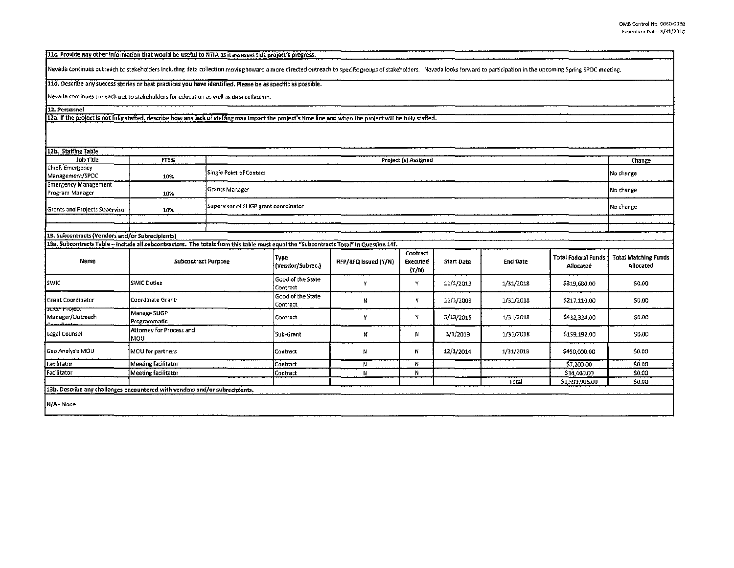[11c. Provide any other information that would be useful to NTIA as it assesses this project's progress.

Nevada continues outreach to stakeholders including data collection moving toward a more directed outreach to specific groups of stakeholders. Nevada looks forward to participation in the upcoming Spring SPOC meeting.

11d. Describe any success stories or best practices you have identified. Please be as specific as possible.

Nevada continues to reach out to stakeholders for education as well as data collection.

12. Personnel

12a. If the project is not fully staffed, describe haw any lack of staffing may impact the project's time line and when the project will be fully staffed.

| 12b. Staffing Table                                                                                                                   |                                 |                         |                                                    |                      |                               |                   |                 |                                  |                                          |  |
|---------------------------------------------------------------------------------------------------------------------------------------|---------------------------------|-------------------------|----------------------------------------------------|----------------------|-------------------------------|-------------------|-----------------|----------------------------------|------------------------------------------|--|
| Job Title<br>FTE%                                                                                                                     |                                 |                         |                                                    |                      |                               |                   |                 |                                  | Change                                   |  |
| Chief, Emergency                                                                                                                      |                                 |                         | Project (s) Assigned                               |                      |                               |                   |                 |                                  |                                          |  |
| Management/SPOC                                                                                                                       | 10%                             | Single Point of Contact | No change                                          |                      |                               |                   |                 |                                  |                                          |  |
| <b>Emergency Management</b><br>Program Manager                                                                                        | 10%                             | Grants Manager          | No change                                          |                      |                               |                   |                 |                                  |                                          |  |
| <b>Grants and Projects Supervisor</b>                                                                                                 | 10%                             |                         | Supervisor of SLIGP grant coordinator<br>No change |                      |                               |                   |                 |                                  |                                          |  |
|                                                                                                                                       |                                 |                         |                                                    |                      |                               |                   |                 |                                  |                                          |  |
|                                                                                                                                       |                                 |                         |                                                    |                      |                               |                   |                 |                                  |                                          |  |
| 13. Subcontracts (Vendors and/or Subrecipients)                                                                                       |                                 |                         |                                                    |                      |                               |                   |                 |                                  |                                          |  |
| 13a. Subcontracts Table - include all subcontractors. The totals from this table must equal the "Subcontracts Total" in Question 14f. |                                 |                         |                                                    |                      |                               |                   |                 |                                  |                                          |  |
| Name                                                                                                                                  | <b>Subcontract Purpose</b>      |                         | Type<br>(Vendor/Subrec.)                           | RFP/RFQ Issued (Y/N) | Contract<br>Executed<br>(Y/N) | <b>Start Date</b> | <b>End Date</b> | Total Federal Funds<br>Allocated | <b>Total Matching Funds</b><br>Allocated |  |
| Iswic                                                                                                                                 | <b>SWIC Duties</b>              |                         | Good of the State<br>Contract                      | Y                    | Y                             | 11/1/2013         | 1/31/2018       | \$319,680.00                     | \$0.00                                   |  |
| <b>Grant Coordinator</b>                                                                                                              | Coordinate Grant:               |                         | Good of the State<br>Contract                      | N                    | Y                             | 11/1/2003         | 1/31/2018       | \$217,110.00                     | \$0.00                                   |  |
| השוטר הסופנו<br>Manager/Outreach                                                                                                      | Manage SLIGP<br>Programmatic    |                         | Contract                                           | Y                    | Y                             | 5/13/2015         | 1/31/2018       | \$432,324.00                     | \$0.00                                   |  |
| Legal Counsel                                                                                                                         | Attorney for Process and<br>MOU |                         | .<br>İSub-Grant                                    | N                    | N                             | 3/1/2013          | 1/31/2018       | \$159,192.00                     | \$0.00                                   |  |
| Gap Analysis MOU                                                                                                                      | MOU for partners                |                         | Contract                                           | N                    | N                             | 12/1/2014         | 1/31/2018       | \$450,000.00                     | \$0.00                                   |  |
| Facilitator                                                                                                                           | Meeting facilitator             |                         | Contract                                           | N                    | N                             |                   |                 | \$7,200.00                       | \$0.00                                   |  |
| Facilitator                                                                                                                           | Meeting facilitator             |                         | Contract                                           | N                    | N                             |                   |                 | \$14,400.00                      | \$0.00                                   |  |
|                                                                                                                                       |                                 |                         |                                                    |                      |                               |                   | Total           | \$1,599,906.00                   | \$0.00                                   |  |
| 13b. Describe any challenges encountered with vendors and/or subrecipients.                                                           |                                 |                         |                                                    |                      |                               |                   |                 |                                  |                                          |  |
| N/A - None                                                                                                                            |                                 |                         |                                                    |                      |                               |                   |                 |                                  |                                          |  |